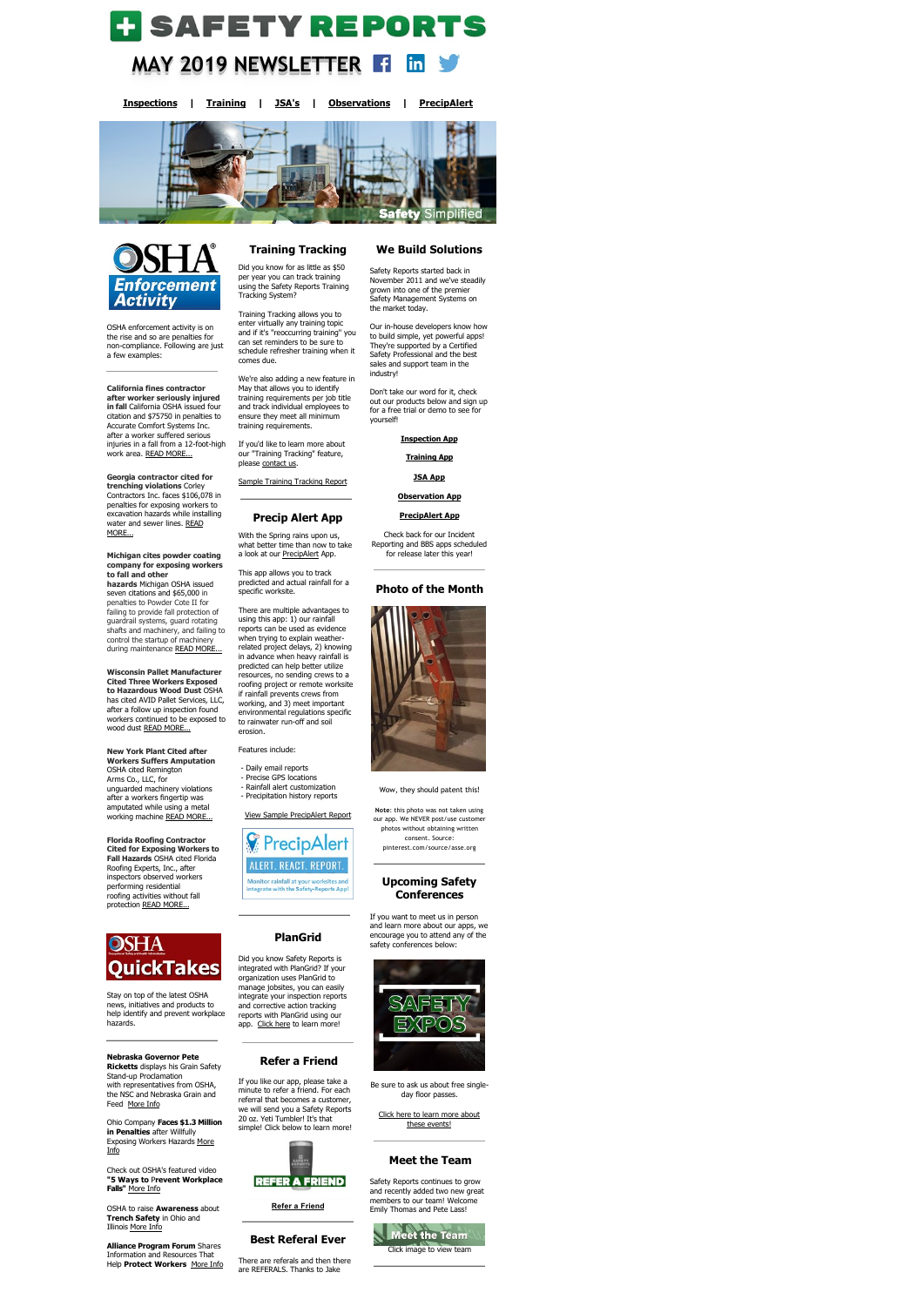# **H** SAFETY REPORTS **MAY 2019 NEWSLETTER**  <u>in</u>

**[Inspections](https://www.safety-reports.com/safety-inspection/) | [Training](https://www.safety-reports.com/safety-training/) | [JSA's](https://www.safety-reports.com/jsa/) | [Observations](https://www.safety-reports.com/safety-observation-coming-soon/) | [PrecipAlert](https://www.safety-reports.com/precipalert/)**





**after worker seriously injured in fall** California OSHA issued four citation and \$75750 in penalties to Accurate Comfort Systems Inc. after a worker suffered serious injuries in a fall from a 12-foot-high work area. [READ MORE...](https://www.safety-reports.com/blog/california-fines-contractor-after-worker-seriously-injured-in-fall/)

OSHA enforcement activity is on the rise and so are penalties for non-compliance. Following are just a few examples:

## **California fines contractor**

**Michigan cites powder coating company for exposing workers to fall and other hazards** Michigan OSHA issued seven citations and \$65,000 in penalties to Powder Cote II for failing to provide fall protection of guardrail systems, guard rotating shafts and machinery, and failing to control the startup of machinery during maintenance [READ MORE...](https://www.safety-reports.com/blog/michigan-cites-powder-coating-company-for-exposing-workers-to-fall-and-other-hazards/)

**Georgia contractor cited for trenching violations** Corley Contractors Inc. faces \$106,078 in penalties for exposing workers to excavation hazards while installing [water and sewer lines.](https://www.safety-reports.com/blog/georgia-contractor-cited-for-trenching-violations/) READ MORE...

**Nebraska Governor Pete Ricketts** displays his Grain Safety Stand-up Proclamation with representatives from OSHA, the NSC and Nebraska Grain and Feed [More Info](https://www.safety-reports.com/blog/nebraska-governor-pete-ricketts-second-from-left-displays-his-grain-safety-stand-up-proclamation-with-representatives-from-osha-the-national-safety-council-and-the-nebraska-grain-and-feed-associat/)

Ohio Company **Faces \$1.3 Million in Penalties** after Willfully [Exposing Workers Hazards More](https://www.safety-reports.com/blog/ohio-company-faces-1-3-million-in-penalties-after-willfully-exposing-workers-to-hazards/) <u>Info</u>

OSHA to raise **Awareness** about **[Trench Safety](http://www.safety-reports.com/2017/11/28/industry-guide-provides-best-practices-high-school-construction-programs/)** in Ohio and Illinois [More Info](https://www.safety-reports.com/blog/osha-to-raise-awareness-about-trench-safety-in-ohio-and-illinois/)

**Wisconsin Pallet Manufacturer Cited Three Workers Exposed to Hazardous Wood Dust** OSHA has cited AVID Pallet Services, LLC, after a follow up inspection found workers continued to be exposed to wood dust [READ MORE...](https://www.safety-reports.com/blog/wisconsin-pallet-manufacturer-cited-after-three-workers-exposed-to-hazardous-wood-dust/)

**New York Plant Cited after Workers Suffers Amputation** OSHA cited Remington Arms Co., LLC, for unguarded machinery violations after a workers fingertip was amputated while using a metal working machine [READ MORE...](https://www.safety-reports.com/blog/new-york-plant-cited-after-worker-suffers-amputation/)

With the Spring rains upon us, what better time than now to take a look at our **PrecipAlert** App.

**Florida Roofing Contractor Cited for Exposing Workers to Fall Hazards** OSHA cited Florida Roofing Experts, Inc., after inspectors observed workers performing residential roofing activities without fall protection [READ MORE...](https://www.safety-reports.com/blog/florida-roofing-contractor-cited-for-exposing-workers-to-fall-hazards/)



Stay on top of the latest OSHA news, initiatives and products to help identify and prevent workplace hazards.

Did you know Safety Reports is integrated with PlanGrid? If your organization uses PlanGrid to manage jobsites, you can easily integrate your inspection reports and corrective action tracking reports with PlanGrid using our app. [Click here](https://www.safety-reports.com/plangrid-integration/) to learn more!

Check out OSHA's featured video **"5 Ways to** P**revent Workplace Falls"** [More Info](https://www.safety-reports.com/blog/5-ways-to-prevent-workplace-falls/)

**Alliance Program Forum** Shares Information and Resources That Help **Protect Workers** More Info

# **Training Tracking**

### Did you know for as little as \$50 per year you can track training using the Safety Reports Training Tracking System?

Training Tracking allows you to enter virtually any training topic and if it's "reoccurring training" you can set reminders to be sure to schedule refresher training when it comes due.

> [Click here to learn more about](https://www.safety-reports.com/safetyexpo/) these events!

We're also adding a new feature in May that allows you to identify training requirements per job title and track individual employees to ensure they meet all minimum training requirements.

If you'd like to learn more about our "Training Tracking" feature, please [contact us.](https://www.safety-reports.com/contact-us/)

[Sample Training Tracking Report](https://www.safety-reports.com/wp-content/uploads/2018/08/Employee-Training-History-2-911x1024.png)

# **Precip Alert App**

This app allows you to track predicted and actual rainfall for a specific worksite.

There are multiple advantages to using this app: 1) our rainfall reports can be used as evidence when trying to explain weatherrelated project delays, 2) knowing in advance when heavy rainfall is predicted can help better utilize resources, no sending crews to a roofing project or remote worksite if rainfall prevents crews from

working, and 3) meet important environmental regulations specific to rainwater run-off and soil erosion.

Features include:

- Daily email reports
- Precise GPS locations - Rainfall alert customization
- Precipitation history reports

[View Sample PrecipAlert Report](https://www.safety-reports.com/precipalert-precipitation-history/)



# **PlanGrid**

# **Refer a Friend**

If you like our app, please take a minute to refer a friend. For each referral that becomes a customer, we will send you a Safety Reports 20 oz. Yeti Tumbler! It's that si[mple! Click below to learn more!](https://login.safety-reports.com/referral?promocode=Yeti)



**[Refer a](https://login.safety-reports.com/referral?promocode=Yeti) Friend**

# **Best Referal Ever**

There are referals and then there are REFERALS. Thanks to Jake

# **We Build Solutions**

Safety Reports started back in November 2011 and we've steadily grown into one of the premier Safety Management Systems on the market today.

Our in-house developers know how to build simple, yet powerful apps! They're supported by a Certified Safety Professional and the best sales and support team in the industry!

Don't take our word for it, check out our products below and sign up for a free trial or demo to see for yourself!

**[Inspection App](https://www.safety-reports.com/safety-inspection/)**

**[Training App](https://www.safety-reports.com/safety-training/)**

**[JSA App](https://www.safety-reports.com/jsa/)**

**[Observation App](https://www.safety-reports.com/safety-observation-coming-soon/)**

**[PrecipAlert App](https://www.safety-reports.com/precipalert/)**

Check back for our Incident

Reporting and BBS apps scheduled for release later this year!

# **Photo of the Month**



#### Wow, they should patent this!

**Note**: this photo was not taken using our app. We NEVER post/use customer photos without obtaining written consent. Source: pinterest.com/source/asse.org

## **Upcoming Safety Conferences**

If you want to meet us in person and learn more about our apps, we encourage you to attend any of the safety conferences below:



Be sure to ask us about free singleday floor passes.

## **Meet the Team**

Safety Reports continues to grow and recently added two new great members to our team! Welcome Emily Thomas and Pete Lass!



# Meet the Team

Click image to view team